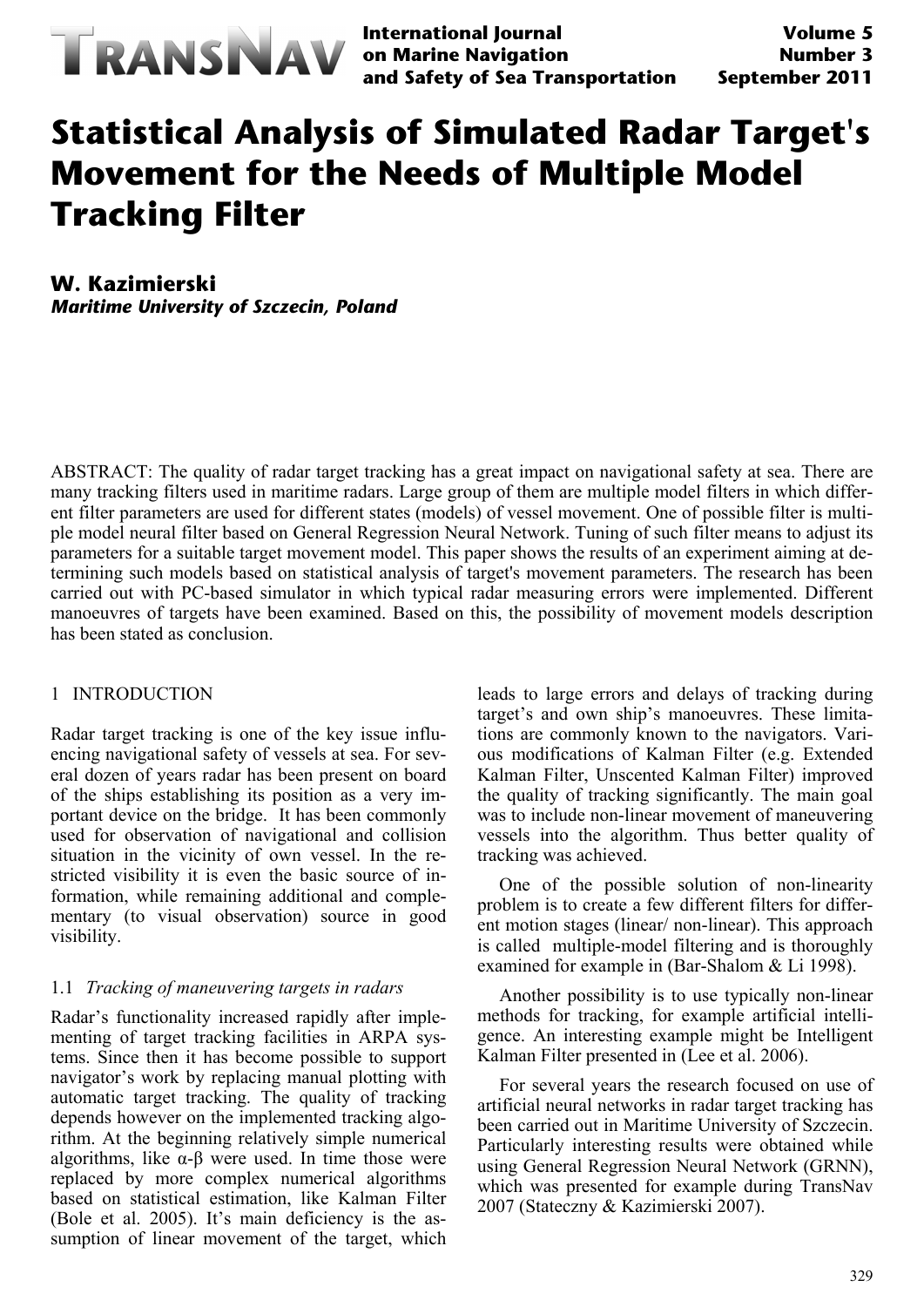

**International Journal on Marine Navigation and Safety of Sea Transportation**

# **Statistical Analysis of Simulated Radar Target's Movement for the Needs of Multiple Model Tracking Filter**

**W. Kazimierski** *Maritime University of Szczecin, Poland*

ABSTRACT: The quality of radar target tracking has a great impact on navigational safety at sea. There are many tracking filters used in maritime radars. Large group of them are multiple model filters in which different filter parameters are used for different states (models) of vessel movement. One of possible filter is multiple model neural filter based on General Regression Neural Network. Tuning of such filter means to adjust its parameters for a suitable target movement model. This paper shows the results of an experiment aiming at determining such models based on statistical analysis of target's movement parameters. The research has been carried out with PC-based simulator in which typical radar measuring errors were implemented. Different manoeuvres of targets have been examined. Based on this, the possibility of movement models description has been stated as conclusion.

## 1 INTRODUCTION

Radar target tracking is one of the key issue influencing navigational safety of vessels at sea. For several dozen of years radar has been present on board of the ships establishing its position as a very important device on the bridge. It has been commonly used for observation of navigational and collision situation in the vicinity of own vessel. In the restricted visibility it is even the basic source of information, while remaining additional and complementary (to visual observation) source in good visibility.

## 1.1 *Tracking of maneuvering targets in radars*

Radar's functionality increased rapidly after implementing of target tracking facilities in ARPA systems. Since then it has become possible to support navigator's work by replacing manual plotting with automatic target tracking. The quality of tracking depends however on the implemented tracking algorithm. At the beginning relatively simple numerical algorithms, like  $\alpha$ - $\beta$  were used. In time those were replaced by more complex numerical algorithms based on statistical estimation, like Kalman Filter (Bole et al. 2005). It's main deficiency is the assumption of linear movement of the target, which

leads to large errors and delays of tracking during target's and own ship's manoeuvres. These limitations are commonly known to the navigators. Various modifications of Kalman Filter (e.g. Extended Kalman Filter, Unscented Kalman Filter) improved the quality of tracking significantly. The main goal was to include non-linear movement of maneuvering vessels into the algorithm. Thus better quality of tracking was achieved.

One of the possible solution of non-linearity problem is to create a few different filters for different motion stages (linear/ non-linear). This approach is called multiple-model filtering and is thoroughly examined for example in (Bar-Shalom & Li 1998).

Another possibility is to use typically non-linear methods for tracking, for example artificial intelligence. An interesting example might be Intelligent Kalman Filter presented in (Lee et al. 2006).

For several years the research focused on use of artificial neural networks in radar target tracking has been carried out in Maritime University of Szczecin. Particularly interesting results were obtained while using General Regression Neural Network (GRNN), which was presented for example during TransNav 2007 (Stateczny & Kazimierski 2007).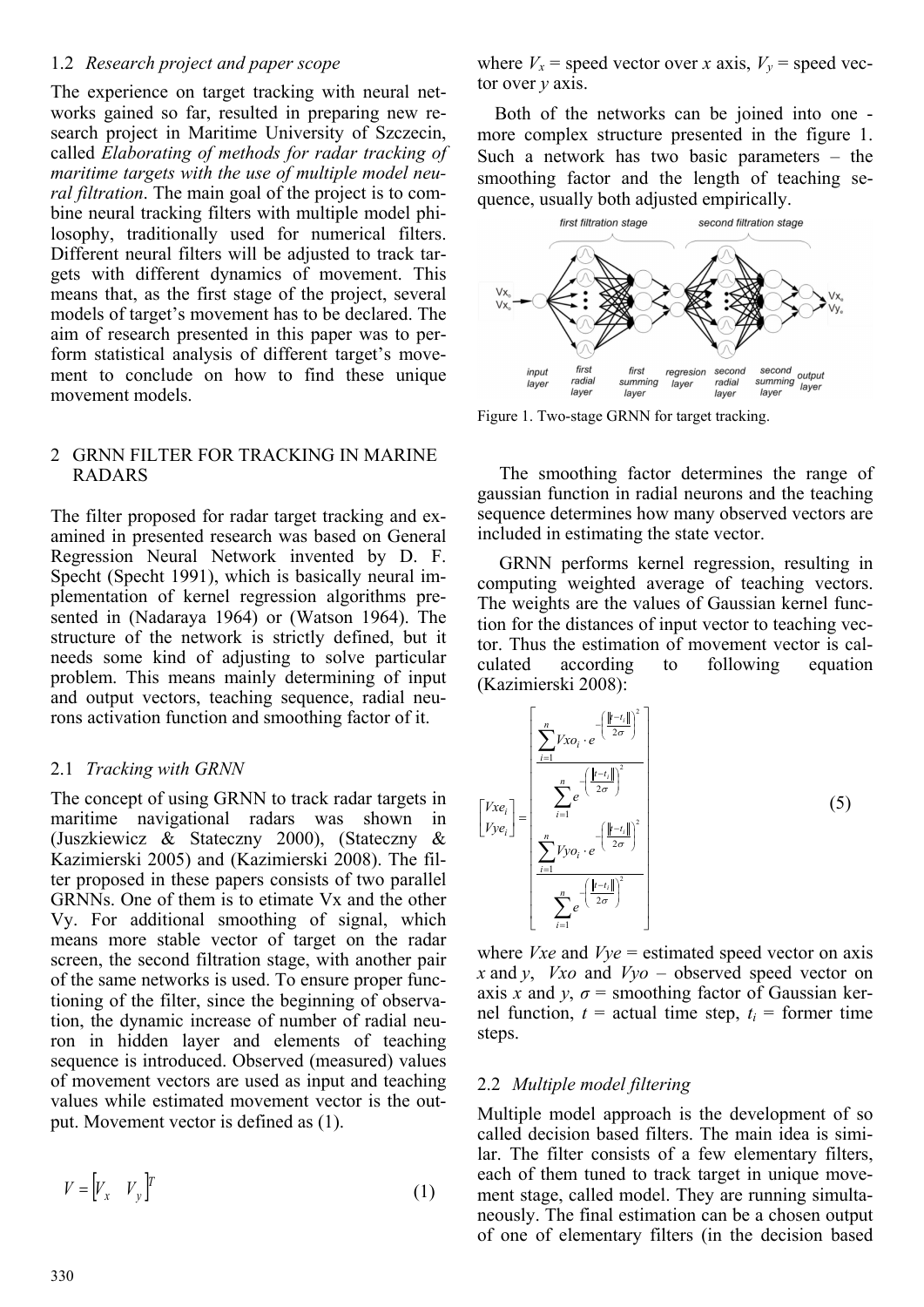## 1.2 *Research project and paper scope*

The experience on target tracking with neural networks gained so far, resulted in preparing new research project in Maritime University of Szczecin, called *Elaborating of methods for radar tracking of maritime targets with the use of multiple model neural filtration*. The main goal of the project is to combine neural tracking filters with multiple model philosophy, traditionally used for numerical filters. Different neural filters will be adjusted to track targets with different dynamics of movement. This means that, as the first stage of the project, several models of target's movement has to be declared. The aim of research presented in this paper was to perform statistical analysis of different target's movement to conclude on how to find these unique movement models.

#### 2 GRNN FILTER FOR TRACKING IN MARINE RADARS

The filter proposed for radar target tracking and examined in presented research was based on General Regression Neural Network invented by D. F. Specht (Specht 1991), which is basically neural implementation of kernel regression algorithms presented in (Nadaraya 1964) or (Watson 1964). The structure of the network is strictly defined, but it needs some kind of adjusting to solve particular problem. This means mainly determining of input and output vectors, teaching sequence, radial neurons activation function and smoothing factor of it.

#### 2.1 *Tracking with GRNN*

The concept of using GRNN to track radar targets in maritime navigational radars was shown in (Juszkiewicz & Stateczny 2000), (Stateczny & Kazimierski 2005) and (Kazimierski 2008). The filter proposed in these papers consists of two parallel GRNNs. One of them is to etimate Vx and the other Vy. For additional smoothing of signal, which means more stable vector of target on the radar screen, the second filtration stage, with another pair of the same networks is used. To ensure proper functioning of the filter, since the beginning of observation, the dynamic increase of number of radial neuron in hidden layer and elements of teaching sequence is introduced. Observed (measured) values of movement vectors are used as input and teaching values while estimated movement vector is the output. Movement vector is defined as (1).

$$
V = \begin{bmatrix} V_x & V_y \end{bmatrix}^T \tag{1}
$$

where  $V_x$  = speed vector over *x* axis,  $V_y$  = speed vector over *y* axis.

Both of the networks can be joined into one more complex structure presented in the figure 1. Such a network has two basic parameters – the smoothing factor and the length of teaching sequence, usually both adjusted empirically.



Figure 1. Two-stage GRNN for target tracking.

The smoothing factor determines the range of gaussian function in radial neurons and the teaching sequence determines how many observed vectors are included in estimating the state vector.

GRNN performs kernel regression, resulting in computing weighted average of teaching vectors. The weights are the values of Gaussian kernel function for the distances of input vector to teaching vector. Thus the estimation of movement vector is calculated according to following equation (Kazimierski 2008):

$$
\begin{bmatrix}\nVxe_i \\
Vxe_i \\
Vye_i\n\end{bmatrix} = \begin{bmatrix}\n\frac{n}{\sum_{i=1}^{n} Vxo_i \cdot e^{-\left(\frac{\|r-t_i\|}{2\sigma}\right)^2}} \\
\sum_{i=1}^{n} e^{-\left(\frac{\|r-t_i\|}{2\sigma}\right)^2} \\
\sum_{i=1}^{n} Vyo_i \cdot e^{-\left(\frac{\|r-t_i\|}{2\sigma}\right)^2} \\
\sum_{i=1}^{n} e^{-\left(\frac{\|r-t_i\|}{2\sigma}\right)^2}\n\end{bmatrix}
$$
\n(5)

where *Vxe* and *Vye* = estimated speed vector on axis *x* and *y*, *Vxo* and *Vyo* – observed speed vector on axis *x* and *y*,  $\sigma$  = smoothing factor of Gaussian kernel function,  $t =$  actual time step,  $t_i =$  former time steps.

#### 2.2 *Multiple model filtering*

Multiple model approach is the development of so called decision based filters. The main idea is similar. The filter consists of a few elementary filters, each of them tuned to track target in unique movement stage, called model. They are running simultaneously. The final estimation can be a chosen output of one of elementary filters (in the decision based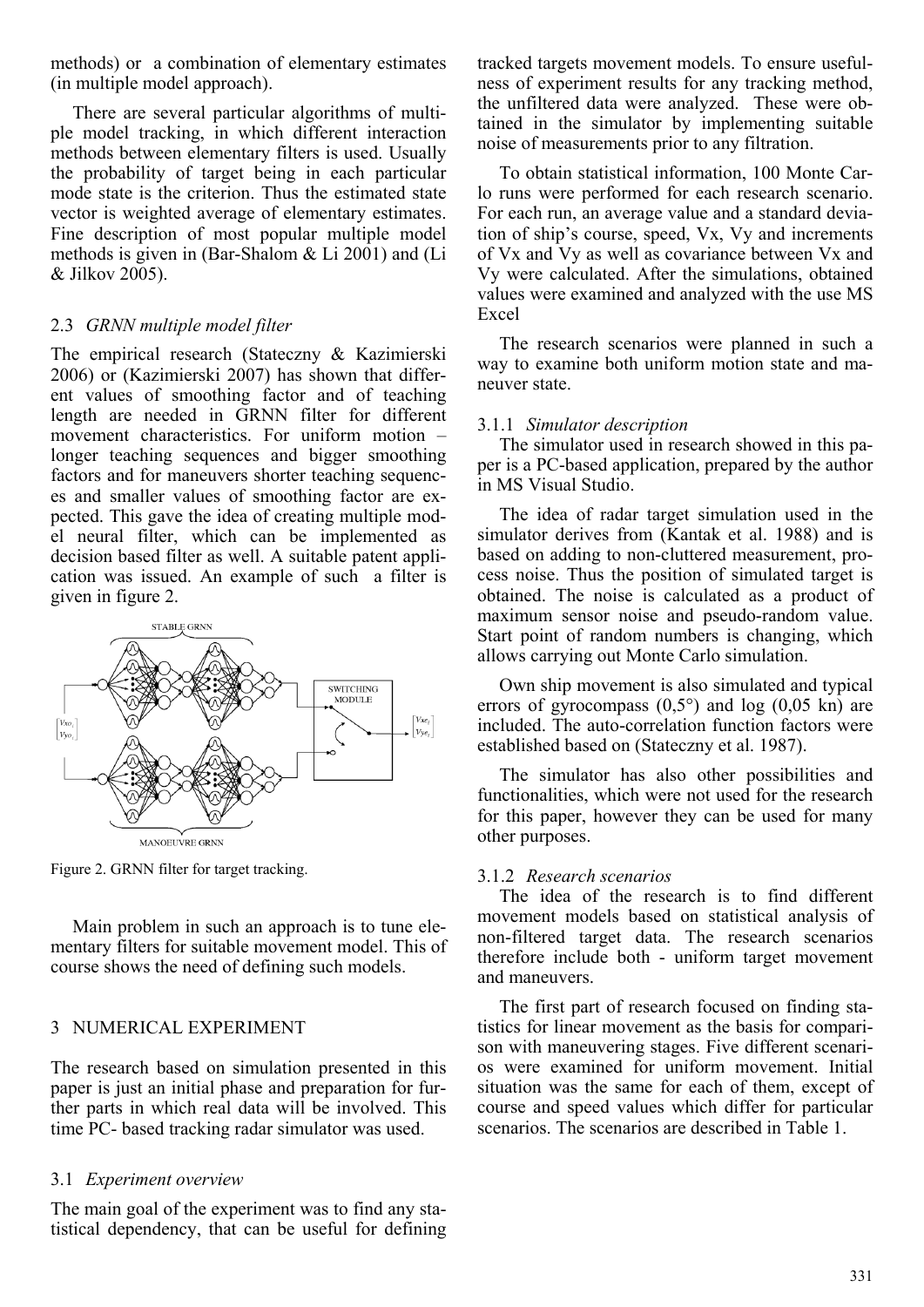methods) or a combination of elementary estimates (in multiple model approach).

There are several particular algorithms of multiple model tracking, in which different interaction methods between elementary filters is used. Usually the probability of target being in each particular mode state is the criterion. Thus the estimated state vector is weighted average of elementary estimates. Fine description of most popular multiple model methods is given in (Bar-Shalom & Li 2001) and (Li & Jilkov 2005).

### 2.3 *GRNN multiple model filter*

The empirical research (Stateczny & Kazimierski 2006) or (Kazimierski 2007) has shown that different values of smoothing factor and of teaching length are needed in GRNN filter for different movement characteristics. For uniform motion – longer teaching sequences and bigger smoothing factors and for maneuvers shorter teaching sequences and smaller values of smoothing factor are expected. This gave the idea of creating multiple model neural filter, which can be implemented as decision based filter as well. A suitable patent application was issued. An example of such a filter is given in figure 2.



Figure 2. GRNN filter for target tracking.

Main problem in such an approach is to tune elementary filters for suitable movement model. This of course shows the need of defining such models.

## 3 NUMERICAL EXPERIMENT

The research based on simulation presented in this paper is just an initial phase and preparation for further parts in which real data will be involved. This time PC- based tracking radar simulator was used.

### 3.1 *Experiment overview*

The main goal of the experiment was to find any statistical dependency, that can be useful for defining tracked targets movement models. To ensure usefulness of experiment results for any tracking method, the unfiltered data were analyzed. These were obtained in the simulator by implementing suitable noise of measurements prior to any filtration.

To obtain statistical information, 100 Monte Carlo runs were performed for each research scenario. For each run, an average value and a standard deviation of ship's course, speed, Vx, Vy and increments of Vx and Vy as well as covariance between Vx and Vy were calculated. After the simulations, obtained values were examined and analyzed with the use MS Excel

The research scenarios were planned in such a way to examine both uniform motion state and maneuver state.

## 3.1.1 *Simulator description*

The simulator used in research showed in this paper is a PC-based application, prepared by the author in MS Visual Studio.

The idea of radar target simulation used in the simulator derives from (Kantak et al. 1988) and is based on adding to non-cluttered measurement, process noise. Thus the position of simulated target is obtained. The noise is calculated as a product of maximum sensor noise and pseudo-random value. Start point of random numbers is changing, which allows carrying out Monte Carlo simulation.

Own ship movement is also simulated and typical errors of gyrocompass  $(0.5^{\circ})$  and log  $(0.05 \text{ km})$  are included. The auto-correlation function factors were established based on (Stateczny et al. 1987).

The simulator has also other possibilities and functionalities, which were not used for the research for this paper, however they can be used for many other purposes.

### 3.1.2 *Research scenarios*

The idea of the research is to find different movement models based on statistical analysis of non-filtered target data. The research scenarios therefore include both - uniform target movement and maneuvers.

The first part of research focused on finding statistics for linear movement as the basis for comparison with maneuvering stages. Five different scenarios were examined for uniform movement. Initial situation was the same for each of them, except of course and speed values which differ for particular scenarios. The scenarios are described in Table 1.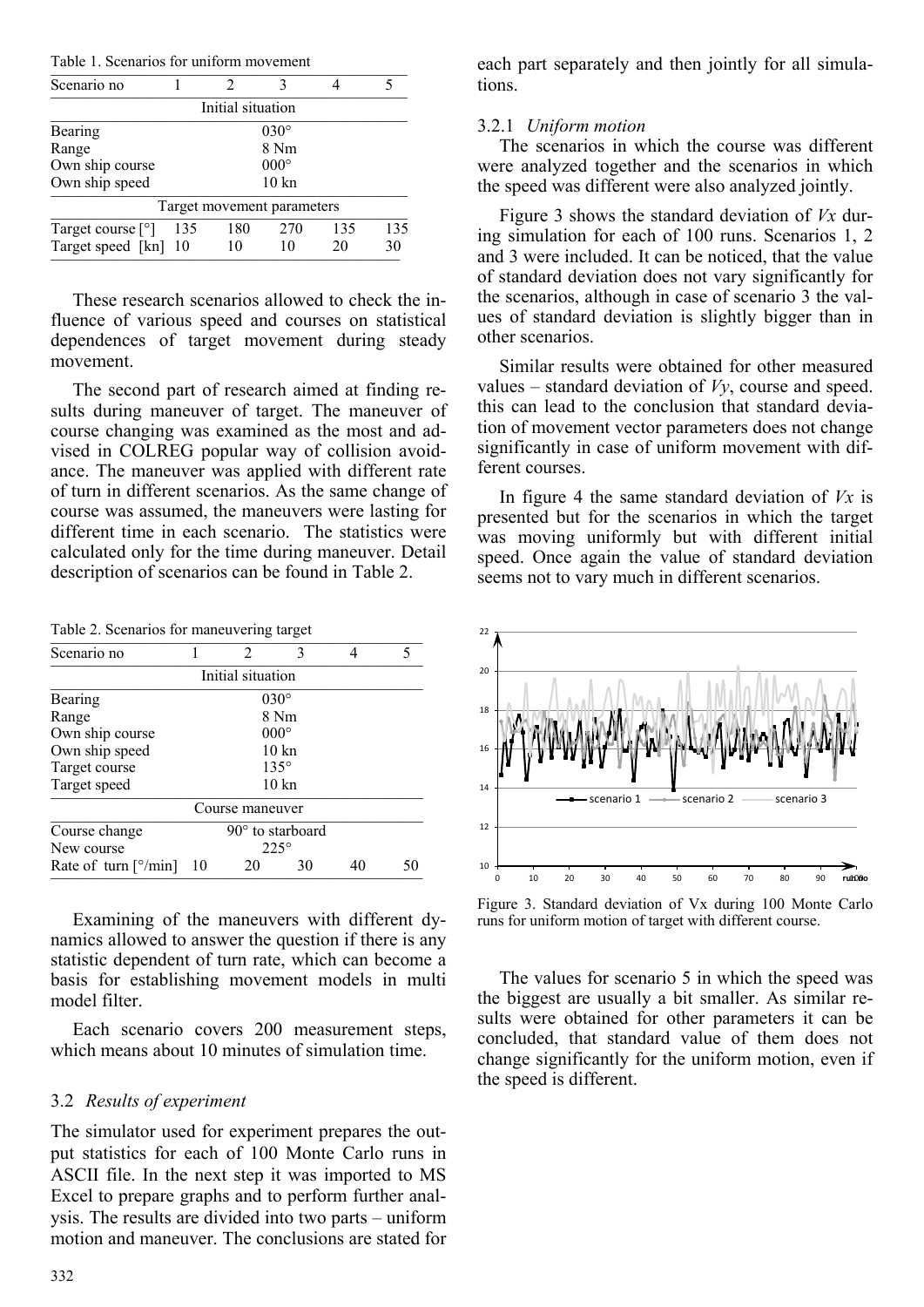Table 1. Scenarios for uniform movement

| Scenario no                         |                  |     |     |     |     |  |  |  |  |  |
|-------------------------------------|------------------|-----|-----|-----|-----|--|--|--|--|--|
| Initial situation                   |                  |     |     |     |     |  |  |  |  |  |
| Bearing                             | $030^\circ$      |     |     |     |     |  |  |  |  |  |
| Range                               | 8 Nm             |     |     |     |     |  |  |  |  |  |
| Own ship course                     | $000^\circ$      |     |     |     |     |  |  |  |  |  |
| Own ship speed                      | $10 \mathrm{km}$ |     |     |     |     |  |  |  |  |  |
| Target movement parameters          |                  |     |     |     |     |  |  |  |  |  |
| Target course $\lceil \circ \rceil$ | 135              | 180 | 270 | 135 | 135 |  |  |  |  |  |
| Target speed [kn] 10                |                  | 10  | 10  | 20  | 30  |  |  |  |  |  |

These research scenarios allowed to check the influence of various speed and courses on statistical dependences of target movement during steady movement.

The second part of research aimed at finding results during maneuver of target. The maneuver of course changing was examined as the most and advised in COLREG popular way of collision avoidance. The maneuver was applied with different rate of turn in different scenarios. As the same change of course was assumed, the maneuvers were lasting for different time in each scenario. The statistics were calculated only for the time during maneuver. Detail description of scenarios can be found in Table 2.

Table 2. Scenarios for maneuvering target

| Scenario no                                           |                           | 2               | 3  | 4  | 5  |  |  |  |  |  |
|-------------------------------------------------------|---------------------------|-----------------|----|----|----|--|--|--|--|--|
| Initial situation                                     |                           |                 |    |    |    |  |  |  |  |  |
| Bearing                                               | $030^\circ$               |                 |    |    |    |  |  |  |  |  |
| Range                                                 | 8 Nm                      |                 |    |    |    |  |  |  |  |  |
| Own ship course                                       | $000^\circ$               |                 |    |    |    |  |  |  |  |  |
| Own ship speed                                        | $10 \text{ km}$           |                 |    |    |    |  |  |  |  |  |
| Target course                                         | $135^\circ$               |                 |    |    |    |  |  |  |  |  |
| Target speed                                          | 10 kn                     |                 |    |    |    |  |  |  |  |  |
|                                                       |                           | Course maneuver |    |    |    |  |  |  |  |  |
| Course change                                         | $90^{\circ}$ to starboard |                 |    |    |    |  |  |  |  |  |
| New course                                            | $225^\circ$               |                 |    |    |    |  |  |  |  |  |
| Rate of turn $\lceil \frac{\circ}{\text{min}} \rceil$ | 10                        | 20              | 30 | 40 | 50 |  |  |  |  |  |

Examining of the maneuvers with different dynamics allowed to answer the question if there is any statistic dependent of turn rate, which can become a basis for establishing movement models in multi model filter.

Each scenario covers 200 measurement steps, which means about 10 minutes of simulation time.

## 3.2 *Results of experiment*

The simulator used for experiment prepares the output statistics for each of 100 Monte Carlo runs in ASCII file. In the next step it was imported to MS Excel to prepare graphs and to perform further analysis. The results are divided into two parts – uniform motion and maneuver. The conclusions are stated for

each part separately and then jointly for all simulations.

### 3.2.1 *Uniform motion*

The scenarios in which the course was different were analyzed together and the scenarios in which the speed was different were also analyzed jointly.

Figure 3 shows the standard deviation of *Vx* during simulation for each of 100 runs. Scenarios 1, 2 and 3 were included. It can be noticed, that the value of standard deviation does not vary significantly for the scenarios, although in case of scenario 3 the values of standard deviation is slightly bigger than in other scenarios.

Similar results were obtained for other measured values – standard deviation of *Vy*, course and speed. this can lead to the conclusion that standard deviation of movement vector parameters does not change significantly in case of uniform movement with different courses.

In figure 4 the same standard deviation of *Vx* is presented but for the scenarios in which the target was moving uniformly but with different initial speed. Once again the value of standard deviation seems not to vary much in different scenarios.



Figure 3. Standard deviation of Vx during 100 Monte Carlo runs for uniform motion of target with different course.

The values for scenario 5 in which the speed was the biggest are usually a bit smaller. As similar results were obtained for other parameters it can be concluded, that standard value of them does not change significantly for the uniform motion, even if the speed is different.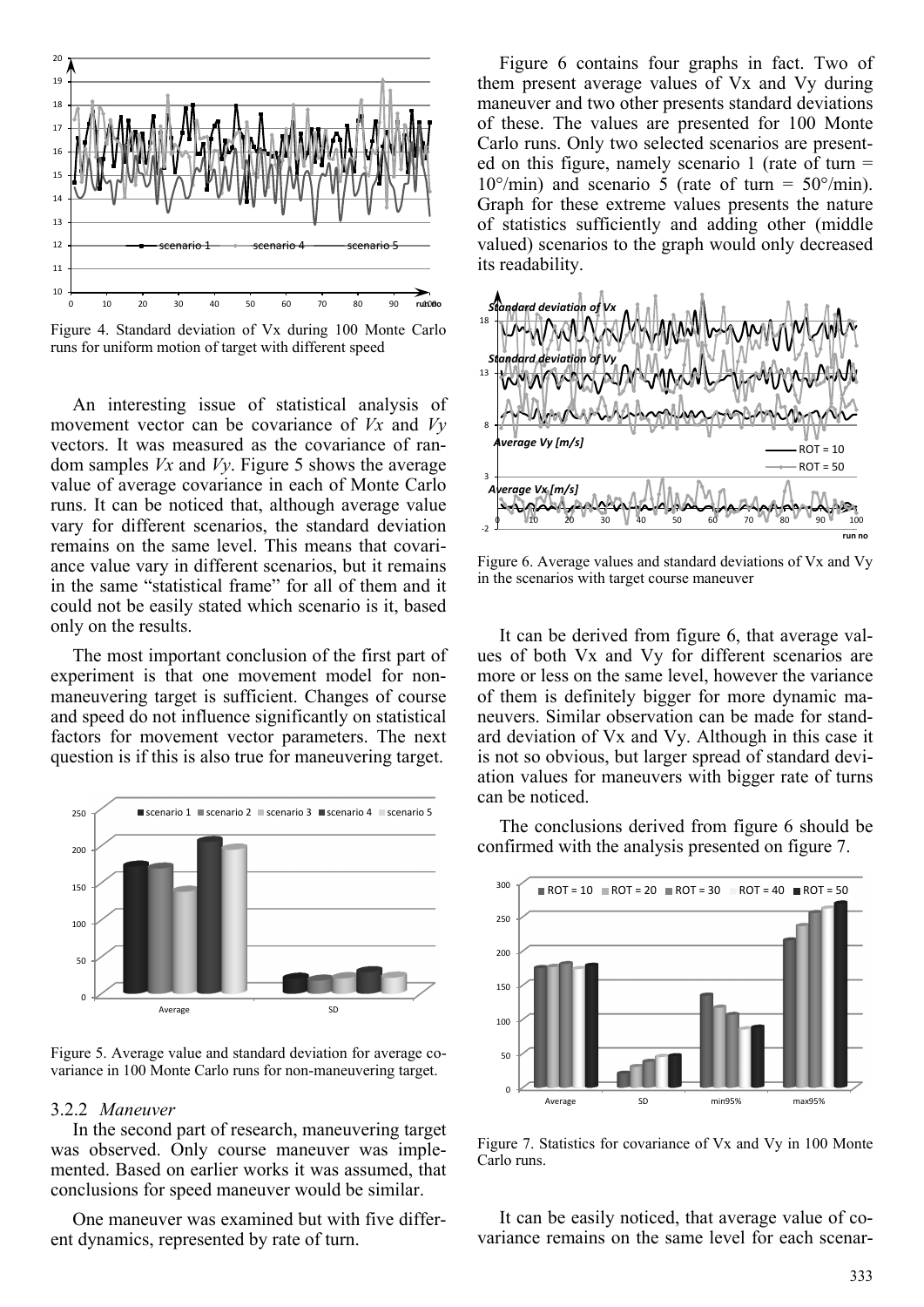

Figure 4. Standard deviation of Vx during 100 Monte Carlo runs for uniform motion of target with different speed

An interesting issue of statistical analysis of movement vector can be covariance of *Vx* and *Vy* vectors. It was measured as the covariance of random samples *Vx* and *Vy*. Figure 5 shows the average value of average covariance in each of Monte Carlo runs. It can be noticed that, although average value vary for different scenarios, the standard deviation remains on the same level. This means that covariance value vary in different scenarios, but it remains in the same "statistical frame" for all of them and it could not be easily stated which scenario is it, based only on the results.

The most important conclusion of the first part of experiment is that one movement model for nonmaneuvering target is sufficient. Changes of course and speed do not influence significantly on statistical factors for movement vector parameters. The next question is if this is also true for maneuvering target.



Figure 5. Average value and standard deviation for average covariance in 100 Monte Carlo runs for non-maneuvering target.

#### 3.2.2 *Maneuver*

In the second part of research, maneuvering target was observed. Only course maneuver was implemented. Based on earlier works it was assumed, that conclusions for speed maneuver would be similar.

One maneuver was examined but with five different dynamics, represented by rate of turn.

Figure 6 contains four graphs in fact. Two of them present average values of Vx and Vy during maneuver and two other presents standard deviations of these. The values are presented for 100 Monte Carlo runs. Only two selected scenarios are presented on this figure, namely scenario 1 (rate of turn  $=$  $10^{\circ}/\text{min}$  and scenario 5 (rate of turn =  $50^{\circ}/\text{min}$ ). Graph for these extreme values presents the nature of statistics sufficiently and adding other (middle valued) scenarios to the graph would only decreased its readability.



Figure 6. Average values and standard deviations of Vx and Vy in the scenarios with target course maneuver

It can be derived from figure 6, that average values of both Vx and Vy for different scenarios are more or less on the same level, however the variance of them is definitely bigger for more dynamic maneuvers. Similar observation can be made for standard deviation of Vx and Vy. Although in this case it is not so obvious, but larger spread of standard deviation values for maneuvers with bigger rate of turns can be noticed.

The conclusions derived from figure 6 should be confirmed with the analysis presented on figure 7.



Figure 7. Statistics for covariance of Vx and Vy in 100 Monte Carlo runs.

It can be easily noticed, that average value of covariance remains on the same level for each scenar